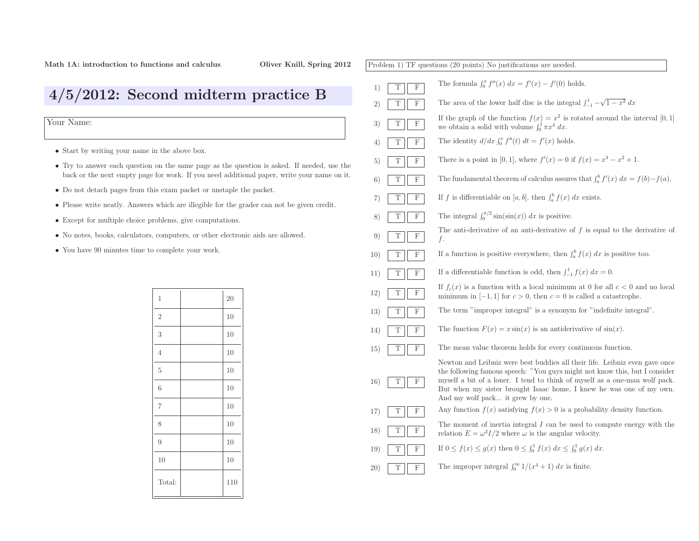Problem 1) TF questions (20 points) No justifications are needed. 1)TFThe formula  $\int_0^x f''(x) dx = f'(x) - f'(0)$  holds. 2)TFF The area of the lower half disc is the integral  $\int_{-1}^{1} -\sqrt{1-x^2} dx$ 3)TFIf the graph of the function  $f(x) = x^2$  is rotated around the interval [0, 1] we obtain a solid with volume  $\int_0^1 \pi x^4 dx$ . we obtain a solid with volume  $\int_0^1 \pi x^4 dx$ . 4)TFF The identity  $d/dx \int_0^x f''(t) dt = f'(x)$  holds. 5)TFThere is a point in [0, 1], where  $f'(x) = 0$  if  $f(x) = x^3 - x^2 + 1$ . 6)T $\mathbf F$ F The fundamental theorem of calculus assures that  $\int_a^b f'(x) dx = f(b) - f(a)$ . 7)TF**F** If f is differentiable on  $[a, b]$ , then  $\int_a^b f(x) dx$  exists. 8)TF**F** The integral  $\int_0^{\pi/2} \sin(\sin(x)) dx$  is positive. 9)T $\overline{\mathrm{F}}$ The anti-derivative of an anti-derivative of  $f$  is equal to the derivative of f.10)TF**F** If a function is positive everywhere, then  $\int_a^b f(x) dx$  is positive too. 11)TF**F** If a differentiable function is odd, then  $\int_{-1}^{1} f(x) dx = 0$ . 12)TFIf  $f_c(x)$  is a function with a local minimum at 0 for all  $c < 0$  and no local minimum in  $[-1, 1]$  for  $c > 0$ , then  $c = 0$  is called a catastrophe. 13)TF The term "improper integral" is <sup>a</sup> synonym for "indefinite integral". 14)TF $\overline{F}$  The function  $F(x) = x \sin(x)$  is an antiderivative of  $\sin(x)$ . 15)TF The mean value theorem holds for every continuous function. 16)TFNewton and Leibniz were best buddies all their life. Leibniz even gave once the following famous speech: "You guys might not know this, but <sup>I</sup> consider myself <sup>a</sup> bit of <sup>a</sup> loner. <sup>I</sup> tend to think of myself as <sup>a</sup> one-man wolf pack. But when my sister brought Isaac home, <sup>I</sup> knew he was one of my own. And my wolf pack... it grew by one. 17)TFAny function  $f(x)$  satisfying  $f(x) > 0$  is a probability density function. 18)TFThe moment of inertia integral  $I$  can be used to compute energy with the  $E = \omega^2 I/2$  where  $\omega$  is the angular velocity. 19)TFF If 0 ≤  $f(x)$  ≤  $g(x)$  then 0 ≤  $\int_0^1 f(x) dx$  ≤  $\int_0^1 g(x) dx$ . 20)TFF The improper integral  $\int_0^\infty 1/(x^4+1) dx$  is finite.

## 4/5/2012: Second midterm practice <sup>B</sup>

Your Name:

- Start by writing your name in the above box.
- Try to answer each question on the same page as the question is asked. If needed, use the back or the next empty page for work. If you need additional paper, write your name on it.
- Do not detach pages from this exam packet or unstaple the packet.
- Please write neatly. Answers which are illegible for the grader can not be <sup>g</sup>iven credit.
- Except for multiple choice problems, <sup>g</sup>ive computations.
- No notes, books, calculators, computers, or other electronic aids are allowed.
- You have <sup>90</sup> minutes time to complete your work.

| $\mathbf 1$    | 20  |
|----------------|-----|
| $\mathbf{2}$   | 10  |
| $\sqrt{3}$     | 10  |
| $\overline{4}$ | 10  |
| $\overline{5}$ | 10  |
| 6              | 10  |
| $\overline{7}$ | 10  |
| 8              | 10  |
| 9              | 10  |
| 10             | 10  |
| Total:         | 110 |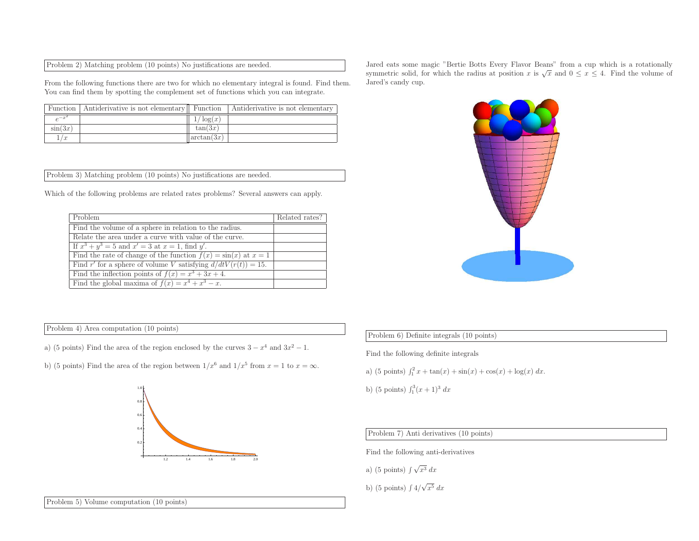| Problem 2) Matching problem (10 points) No justifications are needed. |  |  |  |
|-----------------------------------------------------------------------|--|--|--|
|-----------------------------------------------------------------------|--|--|--|

From the following functions there are two for which no elementary integral is found. Find them. You can find them by spotting the complement set of functions which you can integrate.

| Function 1 | Antiderivative is not elementary   Function |               | Antiderivative is not elementary |
|------------|---------------------------------------------|---------------|----------------------------------|
|            |                                             | $\log(x)$     |                                  |
| $\sin(3x)$ |                                             | tan(3x)       |                                  |
| $\sqrt{r}$ |                                             | $\arctan(3x)$ |                                  |

Problem 3) Matching problem (10 points) No justifications are needed.

Which of the following problems are related rates problems? Several answers can apply.

| Problem                                                             | Related rates? |
|---------------------------------------------------------------------|----------------|
| Find the volume of a sphere in relation to the radius.              |                |
| Relate the area under a curve with value of the curve.              |                |
| If $x^3 + y^3 = 5$ and $x' = 3$ at $x = 1$ , find y'.               |                |
| Find the rate of change of the function $f(x) = \sin(x)$ at $x = 1$ |                |
| Find r' for a sphere of volume V satisfying $d/dtV(r(t)) = 15$ .    |                |
| Find the inflection points of $f(x) = x^3 + 3x + 4$ .               |                |
| Find the global maxima of $f(x) = x^4 + x^3 - x$ .                  |                |

Problem 4) Area computation (10 points)

- a) (5 points) Find the area of the region enclosed by the curves  $3 x^4$  and  $3x^2 1$ .
- b) (5 points) Find the area of the region between  $1/x^6$  and  $1/x^5$  from  $x = 1$  to  $x = \infty$ .



Jared eats some magic "Bertie Botts Every Flavor Beans" from <sup>a</sup> cup which is <sup>a</sup> rotationallysymmetric solid, for which the radius at position x is  $\sqrt{x}$  and  $0 \le x \le 4$ . Find the volume of Jared's candy cup.



## Problem 6) Definite integrals (10 points)

Find the following definite integrals

- a) (5 points)  $\int_1^2 x + \tan(x) + \sin(x) + \cos(x) + \log(x) dx$ .
- b) (5 points)  $\int_1^3 (x+1)^3 dx$

Problem 7) Anti derivatives (10 points)

Find the following anti-derivatives

a) (5 points) 
$$
\int \sqrt{x^3} \, dx
$$

b) (5 points)  $\int 4/\sqrt{x^5} dx$ 

Problem 5) Volume computation (10 points)